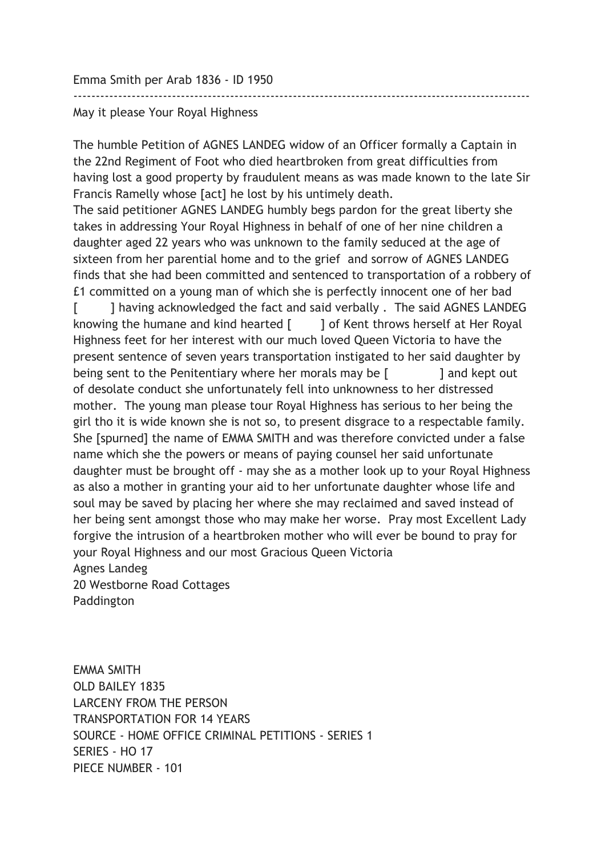Emma Smith per Arab 1836 - ID 1950

## May it please Your Royal Highness

The humble Petition of AGNES LANDEG widow of an Officer formally a Captain in the 22nd Regiment of Foot who died heartbroken from great difficulties from having lost a good property by fraudulent means as was made known to the late Sir Francis Ramelly whose [act] he lost by his untimely death.

------------------------------------------------------------------------------------------------------

The said petitioner AGNES LANDEG humbly begs pardon for the great liberty she takes in addressing Your Royal Highness in behalf of one of her nine children a daughter aged 22 years who was unknown to the family seduced at the age of sixteen from her parential home and to the grief and sorrow of AGNES LANDEG finds that she had been committed and sentenced to transportation of a robbery of £1 committed on a young man of which she is perfectly innocent one of her bad

[ ] having acknowledged the fact and said verbally . The said AGNES LANDEG knowing the humane and kind hearted  $\lceil \cdot \cdot \cdot \rceil$  of Kent throws herself at Her Royal Highness feet for her interest with our much loved Queen Victoria to have the present sentence of seven years transportation instigated to her said daughter by being sent to the Penitentiary where her morals may be [ ] and kept out of desolate conduct she unfortunately fell into unknowness to her distressed mother. The young man please tour Royal Highness has serious to her being the girl tho it is wide known she is not so, to present disgrace to a respectable family. She [spurned] the name of EMMA SMITH and was therefore convicted under a false name which she the powers or means of paying counsel her said unfortunate daughter must be brought off - may she as a mother look up to your Royal Highness as also a mother in granting your aid to her unfortunate daughter whose life and soul may be saved by placing her where she may reclaimed and saved instead of her being sent amongst those who may make her worse. Pray most Excellent Lady forgive the intrusion of a heartbroken mother who will ever be bound to pray for your Royal Highness and our most Gracious Queen Victoria Agnes Landeg 20 Westborne Road Cottages

Paddington

EMMA SMITH OLD BAILEY 1835 LARCENY FROM THE PERSON TRANSPORTATION FOR 14 YEARS SOURCE - HOME OFFICE CRIMINAL PETITIONS - SERIES 1 SERIES - HO 17 PIECE NUMBER - 101